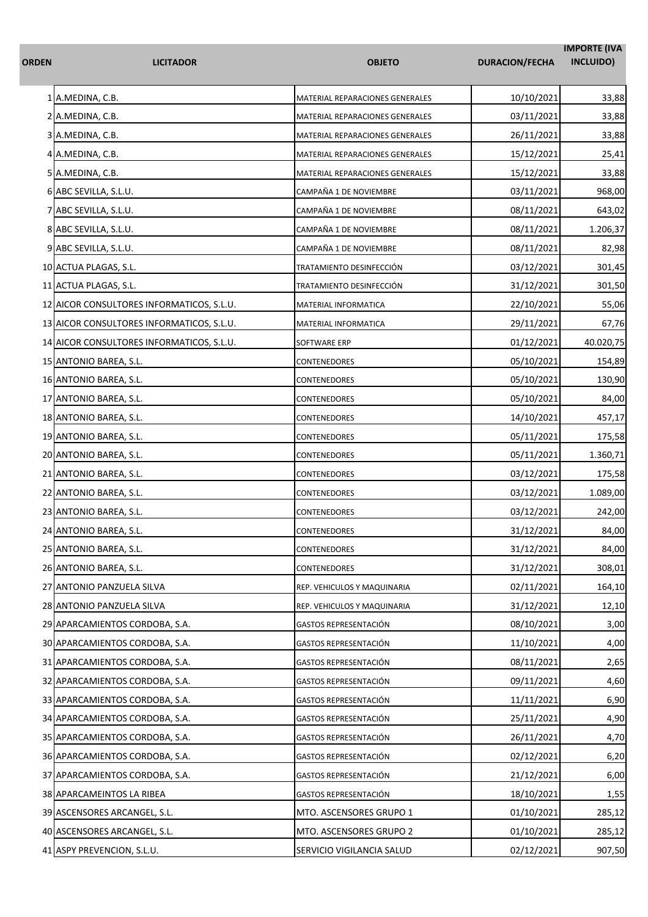| ORDEN | <b>LICITADOR</b>                          | <b>OBJETO</b>                   | <b>DURACION/FECHA</b> | <b>IMPORTE (IVA</b><br>INCLUIDO) |
|-------|-------------------------------------------|---------------------------------|-----------------------|----------------------------------|
|       | 1 A.MEDINA, C.B.                          | MATERIAL REPARACIONES GENERALES | 10/10/2021            | 33,88                            |
|       | 2 A.MEDINA, C.B.                          | MATERIAL REPARACIONES GENERALES | 03/11/2021            | 33,88                            |
|       | 3 A.MEDINA, C.B.                          | MATERIAL REPARACIONES GENERALES | 26/11/2021            | 33,88                            |
|       | 4 A.MEDINA, C.B.                          | MATERIAL REPARACIONES GENERALES | 15/12/2021            | 25,41                            |
|       | 5 A.MEDINA, C.B.                          | MATERIAL REPARACIONES GENERALES | 15/12/2021            | 33,88                            |
|       | 6 ABC SEVILLA, S.L.U.                     | CAMPAÑA 1 DE NOVIEMBRE          | 03/11/2021            | 968,00                           |
|       | 7 ABC SEVILLA, S.L.U.                     | CAMPAÑA 1 DE NOVIEMBRE          | 08/11/2021            | 643,02                           |
|       | 8 ABC SEVILLA, S.L.U.                     | CAMPAÑA 1 DE NOVIEMBRE          | 08/11/2021            | 1.206,37                         |
|       | 9 ABC SEVILLA, S.L.U.                     | CAMPAÑA 1 DE NOVIEMBRE          | 08/11/2021            | 82,98                            |
|       | 10 ACTUA PLAGAS, S.L.                     | TRATAMIENTO DESINFECCIÓN        | 03/12/2021            | 301,45                           |
|       | 11 ACTUA PLAGAS, S.L.                     | TRATAMIENTO DESINFECCIÓN        | 31/12/2021            | 301,50                           |
|       | 12 AICOR CONSULTORES INFORMATICOS, S.L.U. | MATERIAL INFORMATICA            | 22/10/2021            | 55,06                            |
|       | 13 AICOR CONSULTORES INFORMATICOS, S.L.U. | MATERIAL INFORMATICA            | 29/11/2021            | 67,76                            |
|       | 14 AICOR CONSULTORES INFORMATICOS, S.L.U. | SOFTWARE ERP                    | 01/12/2021            | 40.020,75                        |
|       | 15 ANTONIO BAREA, S.L.                    | CONTENEDORES                    | 05/10/2021            | 154,89                           |
|       | 16 ANTONIO BAREA, S.L.                    | <b>CONTENEDORES</b>             | 05/10/2021            | 130,90                           |
|       | 17 ANTONIO BAREA, S.L.                    | CONTENEDORES                    | 05/10/2021            | 84,00                            |
|       | 18 ANTONIO BAREA, S.L.                    | CONTENEDORES                    | 14/10/2021            | 457,17                           |
|       | 19 ANTONIO BAREA, S.L.                    | CONTENEDORES                    | 05/11/2021            | 175,58                           |
|       | 20 ANTONIO BAREA, S.L.                    | CONTENEDORES                    | 05/11/2021            | 1.360,71                         |
|       | 21 ANTONIO BAREA, S.L.                    | <b>CONTENEDORES</b>             | 03/12/2021            | 175,58                           |
|       | 22 ANTONIO BAREA, S.L.                    | CONTENEDORES                    | 03/12/2021            | 1.089,00                         |
|       | 23 ANTONIO BAREA, S.L.                    | CONTENEDORES                    | 03/12/2021            | 242,00                           |
|       | 24 ANTONIO BAREA, S.L.                    | <b>CONTENEDORES</b>             | 31/12/2021            | 84,00                            |
|       | 25 ANTONIO BAREA, S.L.                    | <b>CONTENEDORES</b>             | 31/12/2021            | 84,00                            |
|       | 26 ANTONIO BAREA, S.L.                    | CONTENEDORES                    | 31/12/2021            | 308,01                           |
|       | 27 ANTONIO PANZUELA SILVA                 | REP. VEHICULOS Y MAQUINARIA     | 02/11/2021            | 164,10                           |
|       | 28 ANTONIO PANZUELA SILVA                 | REP. VEHICULOS Y MAQUINARIA     | 31/12/2021            | 12,10                            |
|       | 29 APARCAMIENTOS CORDOBA, S.A.            | GASTOS REPRESENTACIÓN           | 08/10/2021            | 3,00                             |
|       | 30 APARCAMIENTOS CORDOBA, S.A.            | GASTOS REPRESENTACIÓN           | 11/10/2021            | 4,00                             |
|       | 31 APARCAMIENTOS CORDOBA, S.A.            | GASTOS REPRESENTACIÓN           | 08/11/2021            | 2,65                             |
|       | 32 APARCAMIENTOS CORDOBA, S.A.            | GASTOS REPRESENTACIÓN           | 09/11/2021            | 4,60                             |
|       | 33 APARCAMIENTOS CORDOBA, S.A.            | GASTOS REPRESENTACIÓN           | 11/11/2021            | 6,90                             |
|       | 34 APARCAMIENTOS CORDOBA, S.A.            | <b>GASTOS REPRESENTACIÓN</b>    | 25/11/2021            | 4,90                             |
|       | 35 APARCAMIENTOS CORDOBA, S.A.            | <b>GASTOS REPRESENTACIÓN</b>    | 26/11/2021            | 4,70                             |
|       | 36 APARCAMIENTOS CORDOBA, S.A.            | <b>GASTOS REPRESENTACIÓN</b>    | 02/12/2021            | 6,20                             |
|       | 37 APARCAMIENTOS CORDOBA, S.A.            | GASTOS REPRESENTACIÓN           | 21/12/2021            | 6,00                             |
|       | 38 APARCAMEINTOS LA RIBEA                 | GASTOS REPRESENTACIÓN           | 18/10/2021            | 1,55                             |
|       | 39 ASCENSORES ARCANGEL, S.L.              | MTO. ASCENSORES GRUPO 1         | 01/10/2021            | 285,12                           |
|       | 40 ASCENSORES ARCANGEL, S.L.              | MTO. ASCENSORES GRUPO 2         | 01/10/2021            | 285,12                           |
|       | 41 ASPY PREVENCION, S.L.U.                | SERVICIO VIGILANCIA SALUD       | 02/12/2021            | 907,50                           |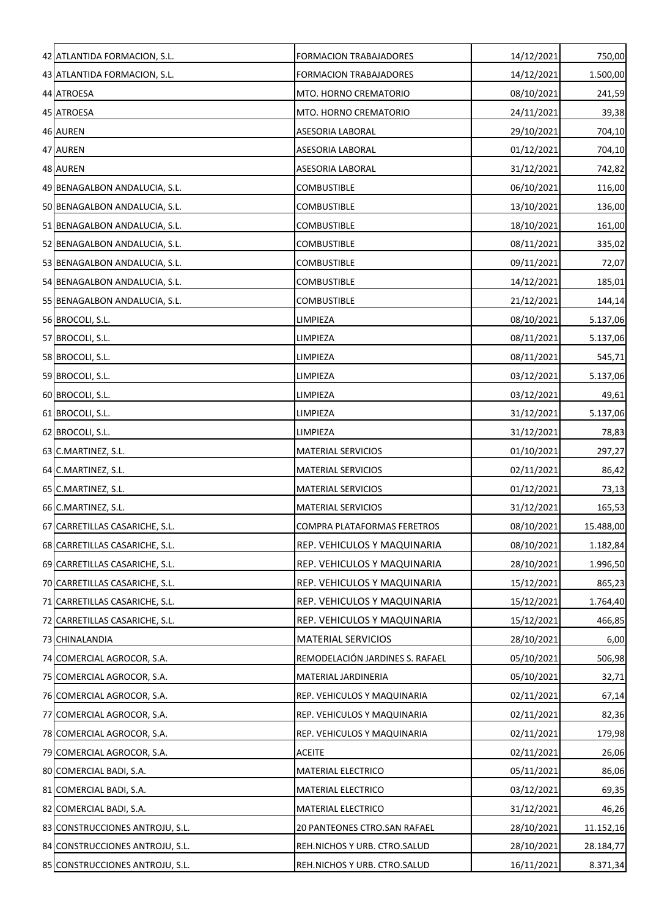| 42 ATLANTIDA FORMACION, S.L.    | <b>FORMACION TRABAJADORES</b>      | 14/12/2021 | 750,00    |
|---------------------------------|------------------------------------|------------|-----------|
| 43 ATLANTIDA FORMACION, S.L.    | <b>FORMACION TRABAJADORES</b>      | 14/12/2021 | 1.500,00  |
| 44 ATROESA                      | MTO. HORNO CREMATORIO              | 08/10/2021 | 241,59    |
| 45 ATROESA                      | MTO. HORNO CREMATORIO              | 24/11/2021 | 39,38     |
| 46 AUREN                        | ASESORIA LABORAL                   | 29/10/2021 | 704,10    |
| 47 AUREN                        | ASESORIA LABORAL                   | 01/12/2021 | 704,10    |
| 48 AUREN                        | ASESORIA LABORAL                   | 31/12/2021 | 742,82    |
| 49 BENAGALBON ANDALUCIA, S.L.   | <b>COMBUSTIBLE</b>                 | 06/10/2021 | 116,00    |
| 50 BENAGALBON ANDALUCIA, S.L.   | COMBUSTIBLE                        | 13/10/2021 | 136,00    |
| 51 BENAGALBON ANDALUCIA, S.L.   | COMBUSTIBLE                        | 18/10/2021 | 161,00    |
| 52 BENAGALBON ANDALUCIA, S.L.   | COMBUSTIBLE                        | 08/11/2021 | 335,02    |
| 53 BENAGALBON ANDALUCIA, S.L.   | <b>COMBUSTIBLE</b>                 | 09/11/2021 | 72,07     |
| 54 BENAGALBON ANDALUCIA, S.L.   | <b>COMBUSTIBLE</b>                 | 14/12/2021 | 185,01    |
| 55 BENAGALBON ANDALUCIA, S.L.   | COMBUSTIBLE                        | 21/12/2021 | 144,14    |
| 56 BROCOLI, S.L.                | LIMPIEZA                           | 08/10/2021 | 5.137,06  |
| 57 BROCOLI, S.L.                | LIMPIEZA                           | 08/11/2021 | 5.137,06  |
| 58 BROCOLI, S.L.                | LIMPIEZA                           | 08/11/2021 | 545,71    |
| 59 BROCOLI, S.L.                | LIMPIEZA                           | 03/12/2021 | 5.137,06  |
| 60 BROCOLI, S.L.                | LIMPIEZA                           | 03/12/2021 | 49,61     |
| 61 BROCOLI, S.L.                | LIMPIEZA                           | 31/12/2021 | 5.137,06  |
| 62 BROCOLI, S.L.                | LIMPIEZA                           | 31/12/2021 | 78,83     |
| 63 C.MARTINEZ, S.L.             | <b>MATERIAL SERVICIOS</b>          | 01/10/2021 | 297,27    |
| 64 C.MARTINEZ, S.L.             | <b>MATERIAL SERVICIOS</b>          | 02/11/2021 | 86,42     |
| 65 C.MARTINEZ, S.L.             | MATERIAL SERVICIOS                 | 01/12/2021 | 73,13     |
| 66 C.MARTINEZ, S.L.             | <b>MATERIAL SERVICIOS</b>          | 31/12/2021 | 165,53    |
| 67 CARRETILLAS CASARICHE, S.L.  | <b>COMPRA PLATAFORMAS FERETROS</b> | 08/10/2021 | 15.488,00 |
| 68 CARRETILLAS CASARICHE, S.L.  | REP. VEHICULOS Y MAQUINARIA        | 08/10/2021 | 1.182,84  |
| 69 CARRETILLAS CASARICHE, S.L.  | REP. VEHICULOS Y MAQUINARIA        | 28/10/2021 | 1.996,50  |
| 70 CARRETILLAS CASARICHE, S.L.  | REP. VEHICULOS Y MAQUINARIA        | 15/12/2021 | 865,23    |
| 71 CARRETILLAS CASARICHE, S.L.  | REP. VEHICULOS Y MAQUINARIA        | 15/12/2021 | 1.764,40  |
| 72 CARRETILLAS CASARICHE, S.L.  | REP. VEHICULOS Y MAQUINARIA        | 15/12/2021 | 466,85    |
| 73 CHINALANDIA                  | <b>MATERIAL SERVICIOS</b>          | 28/10/2021 | 6,00      |
| 74 COMERCIAL AGROCOR, S.A.      | REMODELACIÓN JARDINES S. RAFAEL    | 05/10/2021 | 506,98    |
| 75 COMERCIAL AGROCOR, S.A.      | MATERIAL JARDINERIA                | 05/10/2021 | 32,71     |
| 76 COMERCIAL AGROCOR, S.A.      | REP. VEHICULOS Y MAQUINARIA        | 02/11/2021 | 67,14     |
| 77 COMERCIAL AGROCOR, S.A.      | REP. VEHICULOS Y MAQUINARIA        | 02/11/2021 | 82,36     |
| 78 COMERCIAL AGROCOR, S.A.      | REP. VEHICULOS Y MAQUINARIA        | 02/11/2021 | 179,98    |
| 79 COMERCIAL AGROCOR, S.A.      | <b>ACEITE</b>                      | 02/11/2021 | 26,06     |
| 80 COMERCIAL BADI, S.A.         | MATERIAL ELECTRICO                 | 05/11/2021 | 86,06     |
| 81 COMERCIAL BADI, S.A.         | MATERIAL ELECTRICO                 | 03/12/2021 | 69,35     |
| 82 COMERCIAL BADI, S.A.         | <b>MATERIAL ELECTRICO</b>          | 31/12/2021 | 46,26     |
| 83 CONSTRUCCIONES ANTROJU, S.L. | 20 PANTEONES CTRO.SAN RAFAEL       | 28/10/2021 | 11.152,16 |
| 84 CONSTRUCCIONES ANTROJU, S.L. | REH.NICHOS Y URB. CTRO.SALUD       | 28/10/2021 | 28.184,77 |
| 85 CONSTRUCCIONES ANTROJU, S.L. | REH.NICHOS Y URB. CTRO.SALUD       | 16/11/2021 | 8.371,34  |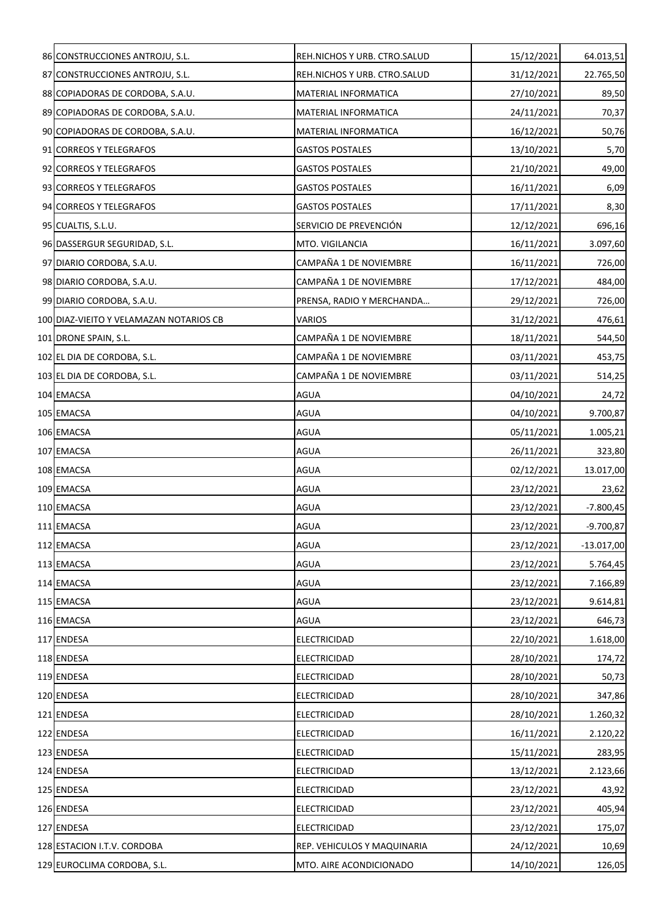| 86 CONSTRUCCIONES ANTROJU, S.L.         | REH.NICHOS Y URB. CTRO.SALUD | 15/12/2021 | 64.013,51    |
|-----------------------------------------|------------------------------|------------|--------------|
| 87 CONSTRUCCIONES ANTROJU, S.L.         | REH.NICHOS Y URB. CTRO.SALUD | 31/12/2021 | 22.765,50    |
| 88 COPIADORAS DE CORDOBA, S.A.U.        | MATERIAL INFORMATICA         | 27/10/2021 | 89,50        |
| 89 COPIADORAS DE CORDOBA, S.A.U.        | MATERIAL INFORMATICA         | 24/11/2021 | 70,37        |
| 90 COPIADORAS DE CORDOBA, S.A.U.        | MATERIAL INFORMATICA         | 16/12/2021 | 50,76        |
| 91 CORREOS Y TELEGRAFOS                 | <b>GASTOS POSTALES</b>       | 13/10/2021 | 5,70         |
| 92 CORREOS Y TELEGRAFOS                 | <b>GASTOS POSTALES</b>       | 21/10/2021 | 49,00        |
| 93 CORREOS Y TELEGRAFOS                 | <b>GASTOS POSTALES</b>       | 16/11/2021 | 6,09         |
| 94 CORREOS Y TELEGRAFOS                 | <b>GASTOS POSTALES</b>       | 17/11/2021 | 8,30         |
| 95 CUALTIS, S.L.U.                      | SERVICIO DE PREVENCIÓN       | 12/12/2021 | 696,16       |
| 96 DASSERGUR SEGURIDAD, S.L.            | MTO. VIGILANCIA              | 16/11/2021 | 3.097,60     |
| 97 DIARIO CORDOBA, S.A.U.               | CAMPAÑA 1 DE NOVIEMBRE       | 16/11/2021 | 726,00       |
| 98 DIARIO CORDOBA, S.A.U.               | CAMPAÑA 1 DE NOVIEMBRE       | 17/12/2021 | 484,00       |
| 99 DIARIO CORDOBA, S.A.U.               | PRENSA, RADIO Y MERCHANDA    | 29/12/2021 | 726,00       |
| 100 DIAZ-VIEITO Y VELAMAZAN NOTARIOS CB | VARIOS                       | 31/12/2021 | 476,61       |
| 101 DRONE SPAIN, S.L.                   | CAMPAÑA 1 DE NOVIEMBRE       | 18/11/2021 | 544,50       |
| 102 EL DIA DE CORDOBA, S.L.             | CAMPAÑA 1 DE NOVIEMBRE       | 03/11/2021 | 453,75       |
| 103 EL DIA DE CORDOBA, S.L.             | CAMPAÑA 1 DE NOVIEMBRE       | 03/11/2021 | 514,25       |
| 104 EMACSA                              | <b>AGUA</b>                  | 04/10/2021 | 24,72        |
| 105 EMACSA                              | <b>AGUA</b>                  | 04/10/2021 | 9.700,87     |
| 106 EMACSA                              | <b>AGUA</b>                  | 05/11/2021 | 1.005,21     |
| 107 EMACSA                              | <b>AGUA</b>                  | 26/11/2021 | 323,80       |
| 108 EMACSA                              | <b>AGUA</b>                  | 02/12/2021 | 13.017,00    |
| 109 EMACSA                              | <b>AGUA</b>                  | 23/12/2021 | 23,62        |
| 110 EMACSA                              | <b>AGUA</b>                  | 23/12/2021 | $-7.800,45$  |
| 111 EMACSA                              | <b>AGUA</b>                  | 23/12/2021 | $-9.700,87$  |
| 112 EMACSA                              | <b>AGUA</b>                  | 23/12/2021 | $-13.017,00$ |
| 113 EMACSA                              | <b>AGUA</b>                  | 23/12/2021 | 5.764,45     |
| 114 EMACSA                              | <b>AGUA</b>                  | 23/12/2021 | 7.166,89     |
| 115 EMACSA                              | <b>AGUA</b>                  | 23/12/2021 | 9.614,81     |
| 116 EMACSA                              | AGUA                         | 23/12/2021 | 646,73       |
| 117 ENDESA                              | ELECTRICIDAD                 | 22/10/2021 | 1.618,00     |
| 118 ENDESA                              | ELECTRICIDAD                 | 28/10/2021 | 174,72       |
| 119 ENDESA                              | ELECTRICIDAD                 | 28/10/2021 | 50,73        |
| 120 ENDESA                              | ELECTRICIDAD                 | 28/10/2021 | 347,86       |
| 121 ENDESA                              | <b>ELECTRICIDAD</b>          | 28/10/2021 | 1.260,32     |
| 122 ENDESA                              | ELECTRICIDAD                 | 16/11/2021 | 2.120,22     |
| 123 ENDESA                              | ELECTRICIDAD                 | 15/11/2021 | 283,95       |
| 124 ENDESA                              | ELECTRICIDAD                 | 13/12/2021 | 2.123,66     |
| 125 ENDESA                              | ELECTRICIDAD                 | 23/12/2021 | 43,92        |
| 126 ENDESA                              | ELECTRICIDAD                 | 23/12/2021 | 405,94       |
| 127 ENDESA                              | ELECTRICIDAD                 | 23/12/2021 | 175,07       |
| 128 ESTACION I.T.V. CORDOBA             | REP. VEHICULOS Y MAQUINARIA  | 24/12/2021 | 10,69        |
| 129 EUROCLIMA CORDOBA, S.L.             | MTO. AIRE ACONDICIONADO      | 14/10/2021 | 126,05       |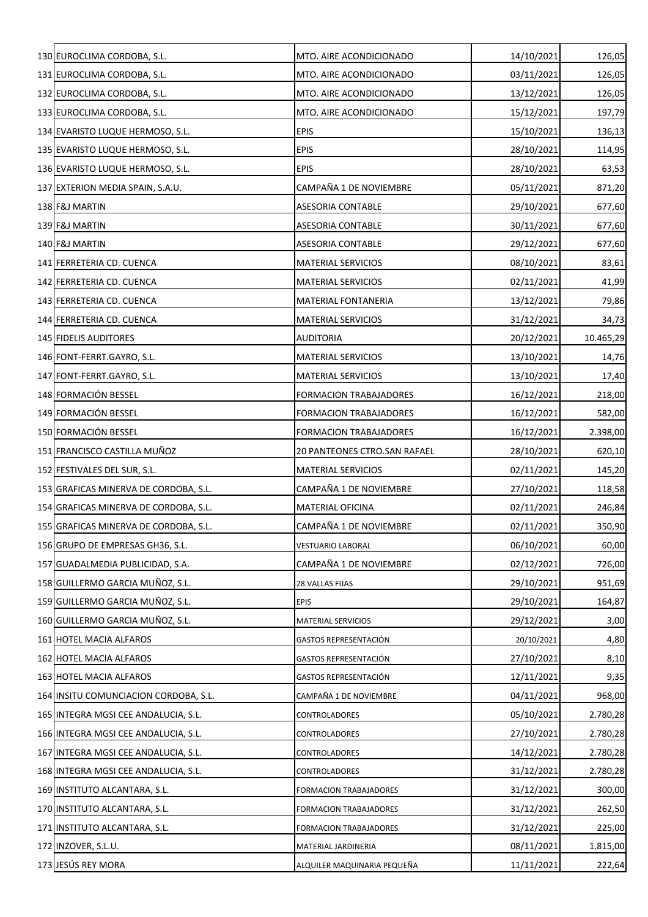| 130 EUROCLIMA CORDOBA, S.L.           | MTO. AIRE ACONDICIONADO       | 14/10/2021 | 126,05    |
|---------------------------------------|-------------------------------|------------|-----------|
| 131 EUROCLIMA CORDOBA, S.L.           | MTO. AIRE ACONDICIONADO       | 03/11/2021 | 126,05    |
| 132 EUROCLIMA CORDOBA, S.L.           | MTO. AIRE ACONDICIONADO       | 13/12/2021 | 126,05    |
| 133 EUROCLIMA CORDOBA, S.L.           | MTO. AIRE ACONDICIONADO       | 15/12/2021 | 197,79    |
| 134 EVARISTO LUQUE HERMOSO, S.L.      | <b>EPIS</b>                   | 15/10/2021 | 136,13    |
| 135 EVARISTO LUQUE HERMOSO, S.L.      | <b>EPIS</b>                   | 28/10/2021 | 114,95    |
| 136 EVARISTO LUQUE HERMOSO, S.L.      | <b>EPIS</b>                   | 28/10/2021 | 63,53     |
| 137 EXTERION MEDIA SPAIN, S.A.U.      | CAMPAÑA 1 DE NOVIEMBRE        | 05/11/2021 | 871,20    |
| 138 F&J MARTIN                        | ASESORIA CONTABLE             | 29/10/2021 | 677,60    |
| 139 F&J MARTIN                        | ASESORIA CONTABLE             | 30/11/2021 | 677,60    |
| 140 F&J MARTIN                        | ASESORIA CONTABLE             | 29/12/2021 | 677,60    |
| 141 FERRETERIA CD. CUENCA             | <b>MATERIAL SERVICIOS</b>     | 08/10/2021 | 83,61     |
| 142 FERRETERIA CD. CUENCA             | <b>MATERIAL SERVICIOS</b>     | 02/11/2021 | 41,99     |
| 143 FERRETERIA CD. CUENCA             | <b>MATERIAL FONTANERIA</b>    | 13/12/2021 | 79,86     |
| 144 FERRETERIA CD. CUENCA             | <b>MATERIAL SERVICIOS</b>     | 31/12/2021 | 34,73     |
| 145 FIDELIS AUDITORES                 | <b>AUDITORIA</b>              | 20/12/2021 | 10.465,29 |
| 146 FONT-FERRT.GAYRO, S.L.            | <b>MATERIAL SERVICIOS</b>     | 13/10/2021 | 14,76     |
| 147 FONT-FERRT.GAYRO, S.L.            | <b>MATERIAL SERVICIOS</b>     | 13/10/2021 | 17,40     |
| 148 FORMACIÓN BESSEL                  | <b>FORMACION TRABAJADORES</b> | 16/12/2021 | 218,00    |
| 149 FORMACIÓN BESSEL                  | <b>FORMACION TRABAJADORES</b> | 16/12/2021 | 582,00    |
| 150 FORMACIÓN BESSEL                  | <b>FORMACION TRABAJADORES</b> | 16/12/2021 | 2.398,00  |
| 151 FRANCISCO CASTILLA MUÑOZ          | 20 PANTEONES CTRO.SAN RAFAEL  | 28/10/2021 | 620,10    |
| 152 FESTIVALES DEL SUR, S.L.          | <b>MATERIAL SERVICIOS</b>     | 02/11/2021 | 145,20    |
| 153 GRAFICAS MINERVA DE CORDOBA, S.L. | CAMPAÑA 1 DE NOVIEMBRE        | 27/10/2021 | 118,58    |
| 154 GRAFICAS MINERVA DE CORDOBA, S.L. | MATERIAL OFICINA              | 02/11/2021 | 246,84    |
| 155 GRAFICAS MINERVA DE CORDOBA, S.L. | CAMPAÑA 1 DE NOVIEMBRE        | 02/11/2021 | 350,90    |
| 156 GRUPO DE EMPRESAS GH36, S.L.      | <b>VESTUARIO LABORAL</b>      | 06/10/2021 | 60,00     |
| 157 GUADALMEDIA PUBLICIDAD, S.A.      | CAMPAÑA 1 DE NOVIEMBRE        | 02/12/2021 | 726,00    |
| 158 GUILLERMO GARCIA MUÑOZ, S.L.      | 28 VALLAS FIJAS               | 29/10/2021 | 951,69    |
| 159 GUILLERMO GARCIA MUÑOZ, S.L.      | <b>EPIS</b>                   | 29/10/2021 | 164,87    |
| 160 GUILLERMO GARCIA MUÑOZ, S.L.      | <b>MATERIAL SERVICIOS</b>     | 29/12/2021 | 3,00      |
| 161 HOTEL MACIA ALFAROS               | <b>GASTOS REPRESENTACIÓN</b>  | 20/10/2021 | 4,80      |
| 162 HOTEL MACIA ALFAROS               | GASTOS REPRESENTACIÓN         | 27/10/2021 | 8,10      |
| 163 HOTEL MACIA ALFAROS               | GASTOS REPRESENTACIÓN         | 12/11/2021 | 9,35      |
| 164 INSITU COMUNCIACION CORDOBA, S.L. | CAMPAÑA 1 DE NOVIEMBRE        | 04/11/2021 | 968,00    |
| 165 INTEGRA MGSI CEE ANDALUCIA, S.L.  | CONTROLADORES                 | 05/10/2021 | 2.780,28  |
| 166 INTEGRA MGSI CEE ANDALUCIA, S.L.  | CONTROLADORES                 | 27/10/2021 | 2.780,28  |
| 167 INTEGRA MGSI CEE ANDALUCIA, S.L.  | CONTROLADORES                 | 14/12/2021 | 2.780,28  |
| 168 INTEGRA MGSI CEE ANDALUCIA, S.L.  | CONTROLADORES                 | 31/12/2021 | 2.780,28  |
| 169 INSTITUTO ALCANTARA, S.L.         | <b>FORMACION TRABAJADORES</b> | 31/12/2021 | 300,00    |
| 170 INSTITUTO ALCANTARA, S.L.         | <b>FORMACION TRABAJADORES</b> | 31/12/2021 | 262,50    |
| 171 INSTITUTO ALCANTARA, S.L.         | <b>FORMACION TRABAJADORES</b> | 31/12/2021 | 225,00    |
| 172 INZOVER, S.L.U.                   | MATERIAL JARDINERIA           | 08/11/2021 | 1.815,00  |
| 173 JESÚS REY MORA                    | ALQUILER MAQUINARIA PEQUEÑA   | 11/11/2021 | 222,64    |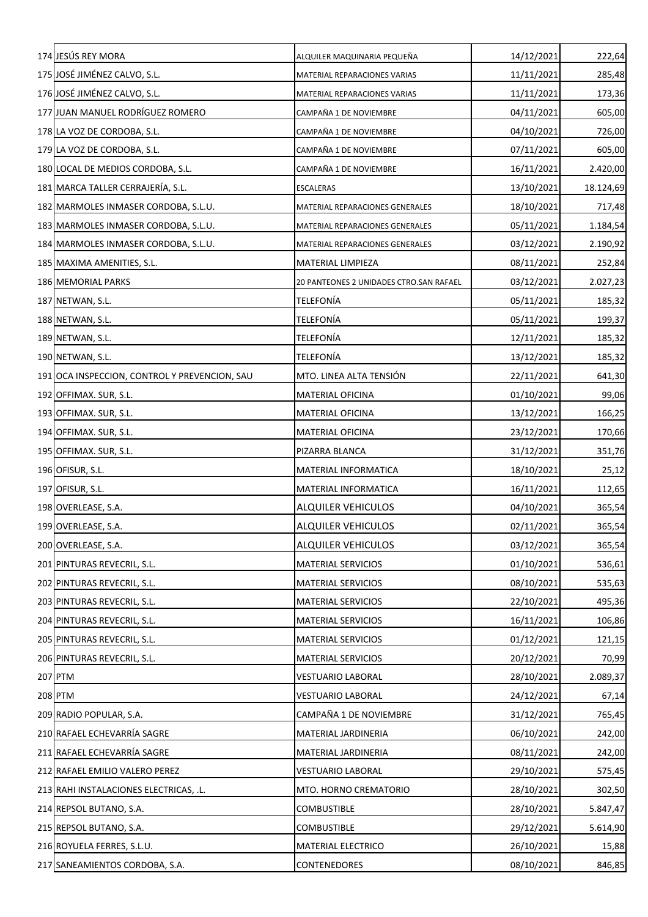| 174 JESÚS REY MORA                            | ALQUILER MAQUINARIA PEQUEÑA             | 14/12/2021 | 222,64    |
|-----------------------------------------------|-----------------------------------------|------------|-----------|
| 175 JOSÉ JIMÉNEZ CALVO, S.L.                  | MATERIAL REPARACIONES VARIAS            | 11/11/2021 | 285,48    |
| 176 JOSÉ JIMÉNEZ CALVO, S.L.                  | MATERIAL REPARACIONES VARIAS            | 11/11/2021 | 173,36    |
| 177 JUAN MANUEL RODRÍGUEZ ROMERO              | CAMPAÑA 1 DE NOVIEMBRE                  | 04/11/2021 | 605,00    |
| 178 LA VOZ DE CORDOBA, S.L.                   | CAMPAÑA 1 DE NOVIEMBRE                  | 04/10/2021 | 726,00    |
| 179 LA VOZ DE CORDOBA, S.L.                   | CAMPAÑA 1 DE NOVIEMBRE                  | 07/11/2021 | 605,00    |
| 180 LOCAL DE MEDIOS CORDOBA, S.L.             | CAMPAÑA 1 DE NOVIEMBRE                  | 16/11/2021 | 2.420,00  |
| 181 MARCA TALLER CERRAJERÍA, S.L.             | ESCALERAS                               | 13/10/2021 | 18.124,69 |
| 182 MARMOLES INMASER CORDOBA, S.L.U.          | MATERIAL REPARACIONES GENERALES         | 18/10/2021 | 717,48    |
| 183 MARMOLES INMASER CORDOBA, S.L.U.          | MATERIAL REPARACIONES GENERALES         | 05/11/2021 | 1.184,54  |
| 184 MARMOLES INMASER CORDOBA, S.L.U.          | MATERIAL REPARACIONES GENERALES         | 03/12/2021 | 2.190,92  |
| 185 MAXIMA AMENITIES, S.L.                    | MATERIAL LIMPIEZA                       | 08/11/2021 | 252,84    |
| <b>186 MEMORIAL PARKS</b>                     | 20 PANTEONES 2 UNIDADES CTRO.SAN RAFAEL | 03/12/2021 | 2.027,23  |
| 187 NETWAN, S.L.                              | <b>TELEFONÍA</b>                        | 05/11/2021 | 185,32    |
| 188 NETWAN, S.L.                              | <b>TELEFONÍA</b>                        | 05/11/2021 | 199,37    |
| 189 NETWAN, S.L.                              | TELEFONÍA                               | 12/11/2021 | 185,32    |
| 190 NETWAN, S.L.                              | <b>TELEFONÍA</b>                        | 13/12/2021 | 185,32    |
| 191 OCA INSPECCION, CONTROL Y PREVENCION, SAU | MTO. LINEA ALTA TENSIÓN                 | 22/11/2021 | 641,30    |
| 192 OFFIMAX. SUR, S.L.                        | MATERIAL OFICINA                        | 01/10/2021 | 99,06     |
| 193 OFFIMAX. SUR, S.L.                        | <b>MATERIAL OFICINA</b>                 | 13/12/2021 | 166,25    |
| 194 OFFIMAX. SUR, S.L.                        | <b>MATERIAL OFICINA</b>                 | 23/12/2021 | 170,66    |
| 195 OFFIMAX. SUR, S.L.                        | PIZARRA BLANCA                          | 31/12/2021 | 351,76    |
| 196 OFISUR, S.L.                              | <b>MATERIAL INFORMATICA</b>             | 18/10/2021 | 25,12     |
| 197 OFISUR, S.L.                              | MATERIAL INFORMATICA                    | 16/11/2021 | 112,65    |
| 198 OVERLEASE, S.A.                           | <b>ALQUILER VEHICULOS</b>               | 04/10/2021 | 365,54    |
| 199 OVERLEASE, S.A.                           | <b>ALQUILER VEHICULOS</b>               | 02/11/2021 | 365,54    |
| 200 OVERLEASE, S.A.                           | ALQUILER VEHICULOS                      | 03/12/2021 | 365,54    |
| 201 PINTURAS REVECRIL, S.L.                   | <b>MATERIAL SERVICIOS</b>               | 01/10/2021 | 536,61    |
| 202 PINTURAS REVECRIL, S.L.                   | <b>MATERIAL SERVICIOS</b>               | 08/10/2021 | 535,63    |
| 203 PINTURAS REVECRIL, S.L.                   | <b>MATERIAL SERVICIOS</b>               | 22/10/2021 | 495,36    |
| 204 PINTURAS REVECRIL, S.L.                   | <b>MATERIAL SERVICIOS</b>               | 16/11/2021 | 106,86    |
| 205 PINTURAS REVECRIL, S.L.                   | <b>MATERIAL SERVICIOS</b>               | 01/12/2021 | 121,15    |
| 206 PINTURAS REVECRIL, S.L.                   | <b>MATERIAL SERVICIOS</b>               | 20/12/2021 | 70,99     |
| 207 PTM                                       | <b>VESTUARIO LABORAL</b>                | 28/10/2021 | 2.089,37  |
| 208 PTM                                       | <b>VESTUARIO LABORAL</b>                | 24/12/2021 | 67,14     |
| 209 RADIO POPULAR, S.A.                       | CAMPAÑA 1 DE NOVIEMBRE                  | 31/12/2021 | 765,45    |
| 210 RAFAEL ECHEVARRÍA SAGRE                   | MATERIAL JARDINERIA                     | 06/10/2021 | 242,00    |
| 211 RAFAEL ECHEVARRÍA SAGRE                   | MATERIAL JARDINERIA                     | 08/11/2021 | 242,00    |
| 212 RAFAEL EMILIO VALERO PEREZ                | <b>VESTUARIO LABORAL</b>                | 29/10/2021 | 575,45    |
| 213 RAHI INSTALACIONES ELECTRICAS, .L.        | MTO. HORNO CREMATORIO                   | 28/10/2021 | 302,50    |
| 214 REPSOL BUTANO, S.A.                       | COMBUSTIBLE                             | 28/10/2021 | 5.847,47  |
| 215 REPSOL BUTANO, S.A.                       | COMBUSTIBLE                             | 29/12/2021 | 5.614,90  |
| 216 ROYUELA FERRES, S.L.U.                    | MATERIAL ELECTRICO                      | 26/10/2021 | 15,88     |
| 217 SANEAMIENTOS CORDOBA, S.A.                | <b>CONTENEDORES</b>                     | 08/10/2021 | 846,85    |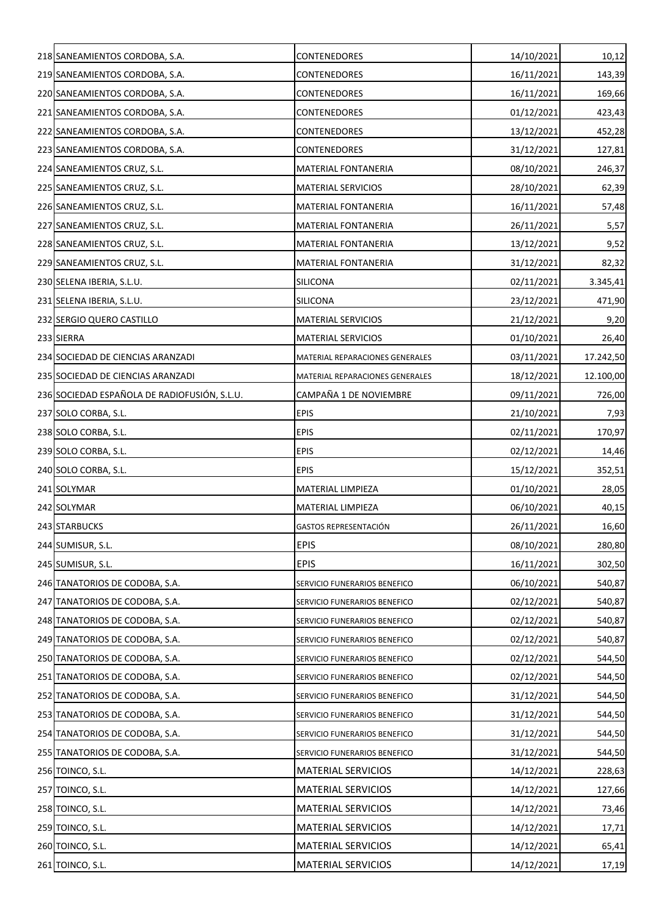| 218 SANEAMIENTOS CORDOBA, S.A.               | CONTENEDORES                    | 14/10/2021 | 10,12     |
|----------------------------------------------|---------------------------------|------------|-----------|
| 219 SANEAMIENTOS CORDOBA, S.A.               | <b>CONTENEDORES</b>             | 16/11/2021 | 143,39    |
| 220 SANEAMIENTOS CORDOBA, S.A.               | <b>CONTENEDORES</b>             | 16/11/2021 | 169,66    |
| 221 SANEAMIENTOS CORDOBA, S.A.               | <b>CONTENEDORES</b>             | 01/12/2021 | 423,43    |
| 222 SANEAMIENTOS CORDOBA, S.A.               | CONTENEDORES                    | 13/12/2021 | 452,28    |
| 223 SANEAMIENTOS CORDOBA, S.A.               | <b>CONTENEDORES</b>             | 31/12/2021 | 127,81    |
| 224 SANEAMIENTOS CRUZ, S.L.                  | <b>MATERIAL FONTANERIA</b>      | 08/10/2021 | 246,37    |
| 225 SANEAMIENTOS CRUZ, S.L.                  | <b>MATERIAL SERVICIOS</b>       | 28/10/2021 | 62,39     |
| 226 SANEAMIENTOS CRUZ, S.L.                  | <b>MATERIAL FONTANERIA</b>      | 16/11/2021 | 57,48     |
| 227 SANEAMIENTOS CRUZ, S.L.                  | <b>MATERIAL FONTANERIA</b>      | 26/11/2021 | 5,57      |
| 228 SANEAMIENTOS CRUZ, S.L.                  | <b>MATERIAL FONTANERIA</b>      | 13/12/2021 | 9,52      |
| 229 SANEAMIENTOS CRUZ, S.L.                  | <b>MATERIAL FONTANERIA</b>      | 31/12/2021 | 82,32     |
| 230 SELENA IBERIA, S.L.U.                    | SILICONA                        | 02/11/2021 | 3.345,41  |
| 231 SELENA IBERIA, S.L.U.                    | <b>SILICONA</b>                 | 23/12/2021 | 471,90    |
| 232 SERGIO QUERO CASTILLO                    | <b>MATERIAL SERVICIOS</b>       | 21/12/2021 | 9,20      |
| 233 SIERRA                                   | <b>MATERIAL SERVICIOS</b>       | 01/10/2021 | 26,40     |
| 234 SOCIEDAD DE CIENCIAS ARANZADI            | MATERIAL REPARACIONES GENERALES | 03/11/2021 | 17.242,50 |
| 235 SOCIEDAD DE CIENCIAS ARANZADI            | MATERIAL REPARACIONES GENERALES | 18/12/2021 | 12.100,00 |
| 236 SOCIEDAD ESPAÑOLA DE RADIOFUSIÓN, S.L.U. | CAMPAÑA 1 DE NOVIEMBRE          | 09/11/2021 | 726,00    |
| 237 SOLO CORBA, S.L.                         | <b>EPIS</b>                     | 21/10/2021 | 7,93      |
| 238 SOLO CORBA, S.L.                         | <b>EPIS</b>                     | 02/11/2021 | 170,97    |
| 239 SOLO CORBA, S.L.                         | <b>EPIS</b>                     | 02/12/2021 | 14,46     |
| 240 SOLO CORBA, S.L.                         | <b>EPIS</b>                     | 15/12/2021 | 352,51    |
| 241 SOLYMAR                                  | MATERIAL LIMPIEZA               | 01/10/2021 | 28,05     |
| 242 SOLYMAR                                  | <b>MATERIAL LIMPIEZA</b>        | 06/10/2021 | 40,15     |
| 243 STARBUCKS                                | <b>GASTOS REPRESENTACIÓN</b>    | 26/11/2021 | 16,60     |
| 244 SUMISUR, S.L.                            | <b>EPIS</b>                     | 08/10/2021 | 280,80    |
| 245 SUMISUR, S.L.                            | <b>EPIS</b>                     | 16/11/2021 | 302,50    |
| 246 TANATORIOS DE CODOBA, S.A.               | SERVICIO FUNERARIOS BENEFICO    | 06/10/2021 | 540,87    |
| 247 TANATORIOS DE CODOBA, S.A.               | SERVICIO FUNERARIOS BENEFICO    | 02/12/2021 | 540,87    |
| 248 TANATORIOS DE CODOBA, S.A.               | SERVICIO FUNERARIOS BENEFICO    | 02/12/2021 | 540,87    |
| 249 TANATORIOS DE CODOBA, S.A.               | SERVICIO FUNERARIOS BENEFICO    | 02/12/2021 | 540,87    |
| 250 TANATORIOS DE CODOBA, S.A.               | SERVICIO FUNERARIOS BENEFICO    | 02/12/2021 | 544,50    |
| 251 TANATORIOS DE CODOBA, S.A.               | SERVICIO FUNERARIOS BENEFICO    | 02/12/2021 | 544,50    |
| 252 TANATORIOS DE CODOBA, S.A.               | SERVICIO FUNERARIOS BENEFICO    | 31/12/2021 | 544,50    |
| 253 TANATORIOS DE CODOBA, S.A.               | SERVICIO FUNERARIOS BENEFICO    | 31/12/2021 | 544,50    |
| 254 TANATORIOS DE CODOBA, S.A.               | SERVICIO FUNERARIOS BENEFICO    | 31/12/2021 | 544,50    |
| 255 TANATORIOS DE CODOBA, S.A.               | SERVICIO FUNERARIOS BENEFICO    | 31/12/2021 | 544,50    |
| 256 TOINCO, S.L.                             | <b>MATERIAL SERVICIOS</b>       | 14/12/2021 | 228,63    |
| 257 TOINCO, S.L.                             | <b>MATERIAL SERVICIOS</b>       | 14/12/2021 | 127,66    |
| 258 TOINCO, S.L.                             | <b>MATERIAL SERVICIOS</b>       | 14/12/2021 | 73,46     |
| 259 TOINCO, S.L.                             | <b>MATERIAL SERVICIOS</b>       | 14/12/2021 | 17,71     |
| 260 TOINCO, S.L.                             | <b>MATERIAL SERVICIOS</b>       | 14/12/2021 | 65,41     |
| 261 TOINCO, S.L.                             | <b>MATERIAL SERVICIOS</b>       | 14/12/2021 | 17,19     |